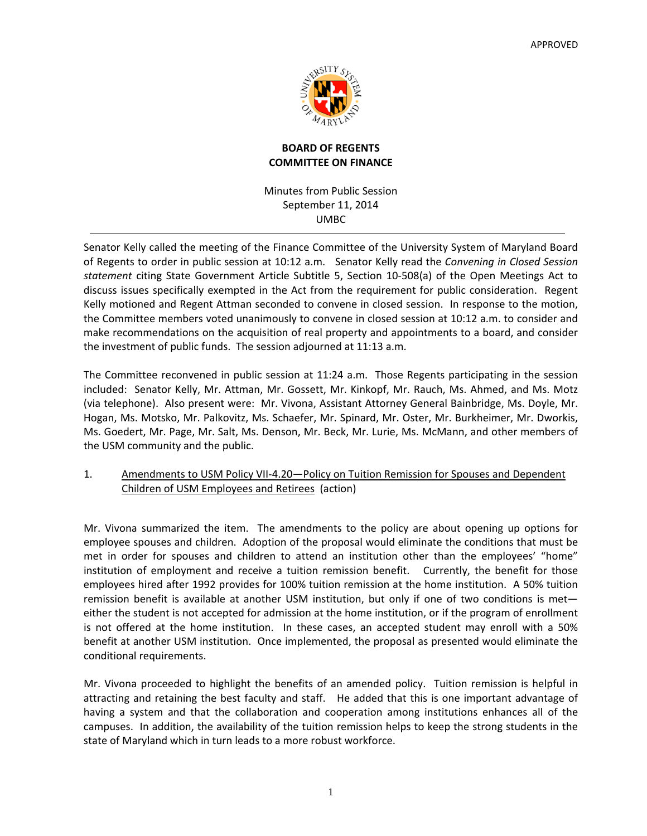

# **BOARD OF REGENTS COMMITTEE ON FINANCE**

Minutes from Public Session September 11, 2014 UMBC

Senator Kelly called the meeting of the Finance Committee of the University System of Maryland Board of Regents to order in public session at 10:12 a.m. Senator Kelly read the *Convening in Closed Session statement* citing State Government Article Subtitle 5, Section 10‐508(a) of the Open Meetings Act to discuss issues specifically exempted in the Act from the requirement for public consideration. Regent Kelly motioned and Regent Attman seconded to convene in closed session. In response to the motion, the Committee members voted unanimously to convene in closed session at 10:12 a.m. to consider and make recommendations on the acquisition of real property and appointments to a board, and consider the investment of public funds. The session adjourned at 11:13 a.m.

The Committee reconvened in public session at 11:24 a.m. Those Regents participating in the session included: Senator Kelly, Mr. Attman, Mr. Gossett, Mr. Kinkopf, Mr. Rauch, Ms. Ahmed, and Ms. Motz (via telephone). Also present were: Mr. Vivona, Assistant Attorney General Bainbridge, Ms. Doyle, Mr. Hogan, Ms. Motsko, Mr. Palkovitz, Ms. Schaefer, Mr. Spinard, Mr. Oster, Mr. Burkheimer, Mr. Dworkis, Ms. Goedert, Mr. Page, Mr. Salt, Ms. Denson, Mr. Beck, Mr. Lurie, Ms. McMann, and other members of the USM community and the public.

# 1. Amendments to USM Policy VII-4.20—Policy on Tuition Remission for Spouses and Dependent Children of USM Employees and Retirees (action)

Mr. Vivona summarized the item. The amendments to the policy are about opening up options for employee spouses and children. Adoption of the proposal would eliminate the conditions that must be met in order for spouses and children to attend an institution other than the employees' "home" institution of employment and receive a tuition remission benefit. Currently, the benefit for those employees hired after 1992 provides for 100% tuition remission at the home institution. A 50% tuition remission benefit is available at another USM institution, but only if one of two conditions is met either the student is not accepted for admission at the home institution, or if the program of enrollment is not offered at the home institution. In these cases, an accepted student may enroll with a 50% benefit at another USM institution. Once implemented, the proposal as presented would eliminate the conditional requirements.

Mr. Vivona proceeded to highlight the benefits of an amended policy. Tuition remission is helpful in attracting and retaining the best faculty and staff. He added that this is one important advantage of having a system and that the collaboration and cooperation among institutions enhances all of the campuses. In addition, the availability of the tuition remission helps to keep the strong students in the state of Maryland which in turn leads to a more robust workforce.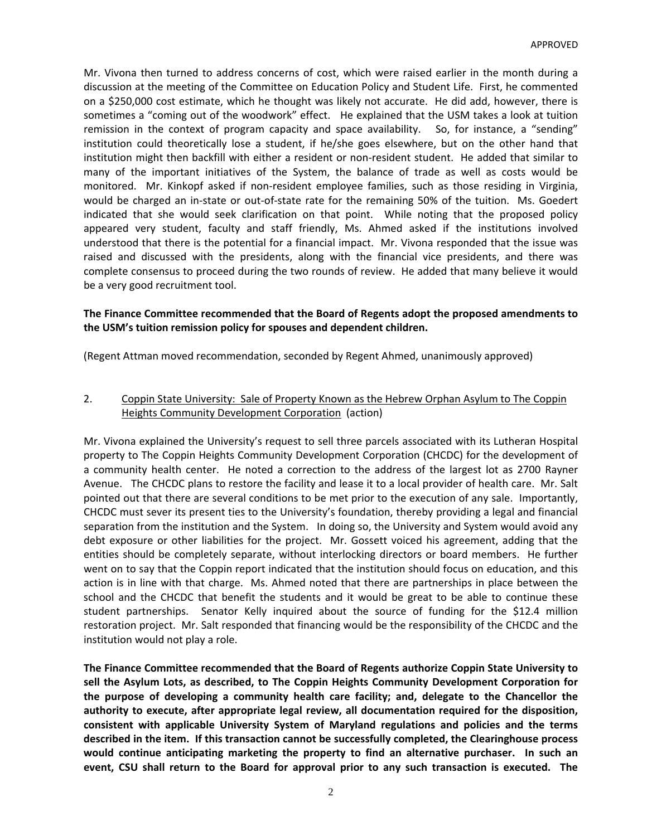Mr. Vivona then turned to address concerns of cost, which were raised earlier in the month during a discussion at the meeting of the Committee on Education Policy and Student Life. First, he commented on a \$250,000 cost estimate, which he thought was likely not accurate. He did add, however, there is sometimes a "coming out of the woodwork" effect. He explained that the USM takes a look at tuition remission in the context of program capacity and space availability. So, for instance, a "sending" institution could theoretically lose a student, if he/she goes elsewhere, but on the other hand that institution might then backfill with either a resident or non-resident student. He added that similar to many of the important initiatives of the System, the balance of trade as well as costs would be monitored. Mr. Kinkopf asked if non-resident employee families, such as those residing in Virginia, would be charged an in-state or out-of-state rate for the remaining 50% of the tuition. Ms. Goedert indicated that she would seek clarification on that point. While noting that the proposed policy appeared very student, faculty and staff friendly, Ms. Ahmed asked if the institutions involved understood that there is the potential for a financial impact. Mr. Vivona responded that the issue was raised and discussed with the presidents, along with the financial vice presidents, and there was complete consensus to proceed during the two rounds of review. He added that many believe it would be a very good recruitment tool.

## **The Finance Committee recommended that the Board of Regents adopt the proposed amendments to the USM's tuition remission policy for spouses and dependent children.**

(Regent Attman moved recommendation, seconded by Regent Ahmed, unanimously approved)

#### 2. Coppin State University: Sale of Property Known as the Hebrew Orphan Asylum to The Coppin Heights Community Development Corporation (action)

Mr. Vivona explained the University's request to sell three parcels associated with its Lutheran Hospital property to The Coppin Heights Community Development Corporation (CHCDC) for the development of a community health center. He noted a correction to the address of the largest lot as 2700 Rayner Avenue. The CHCDC plans to restore the facility and lease it to a local provider of health care. Mr. Salt pointed out that there are several conditions to be met prior to the execution of any sale. Importantly, CHCDC must sever its present ties to the University's foundation, thereby providing a legal and financial separation from the institution and the System. In doing so, the University and System would avoid any debt exposure or other liabilities for the project. Mr. Gossett voiced his agreement, adding that the entities should be completely separate, without interlocking directors or board members. He further went on to say that the Coppin report indicated that the institution should focus on education, and this action is in line with that charge. Ms. Ahmed noted that there are partnerships in place between the school and the CHCDC that benefit the students and it would be great to be able to continue these student partnerships. Senator Kelly inquired about the source of funding for the \$12.4 million restoration project. Mr. Salt responded that financing would be the responsibility of the CHCDC and the institution would not play a role.

**The Finance Committee recommended that the Board of Regents authorize Coppin State University to sell the Asylum Lots, as described, to The Coppin Heights Community Development Corporation for the purpose of developing a community health care facility; and, delegate to the Chancellor the authority to execute, after appropriate legal review, all documentation required for the disposition, consistent with applicable University System of Maryland regulations and policies and the terms described in the item. If this transaction cannot be successfully completed, the Clearinghouse process would continue anticipating marketing the property to find an alternative purchaser. In such an** event, CSU shall return to the Board for approval prior to any such transaction is executed. The